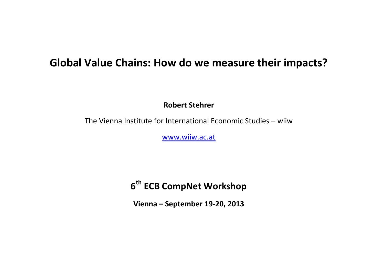## **Global Value Chains: How do we measure their impacts?**

**Robert Stehrer**

The Vienna Institute for International Economic Studies – wiiw

[www.wiiw.ac.at](http://www.wiiw.ac.at/)

**6 th ECB CompNet Workshop**

**Vienna – September 19-20, 2013**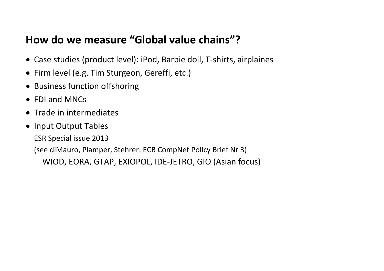# **How do we measure "Global value chains"?**

- Case studies (product level): iPod, Barbie doll, T-shirts, airplaines
- Firm level (e.g. Tim Sturgeon, Gereffi, etc.)
- Business function offshoring
- FDI and MNCs
- Trade in intermediates
- Input Output Tables
	- ESR Special issue 2013

(see diMauro, Plamper, Stehrer: ECB CompNet Policy Brief Nr 3)

- WIOD, EORA, GTAP, EXIOPOL, IDE-JETRO, GIO (Asian focus)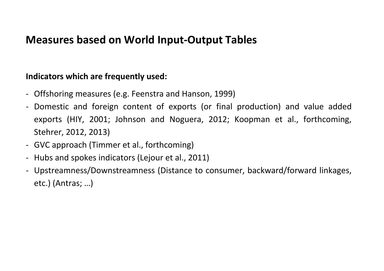# **Measures based on World Input-Output Tables**

#### **Indicators which are frequently used:**

- Offshoring measures (e.g. Feenstra and Hanson, 1999)
- Domestic and foreign content of exports (or final production) and value added exports (HIY, 2001; Johnson and Noguera, 2012; Koopman et al., forthcoming, Stehrer, 2012, 2013)
- GVC approach (Timmer et al., forthcoming)
- Hubs and spokes indicators (Lejour et al., 2011)
- Upstreamness/Downstreamness (Distance to consumer, backward/forward linkages, etc.) (Antras; …)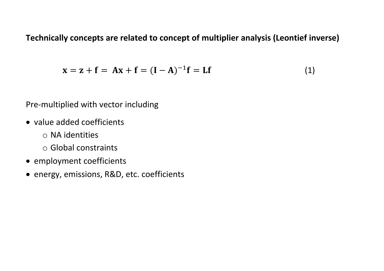**Technically concepts are related to concept of multiplier analysis (Leontief inverse)**

$$
x = z + f = Ax + f = (I - A)^{-1}f = Lf
$$
 (1)

Pre-multiplied with vector including

- value added coefficients
	- o NA identities
	- o Global constraints
- employment coefficients
- energy, emissions, R&D, etc. coefficients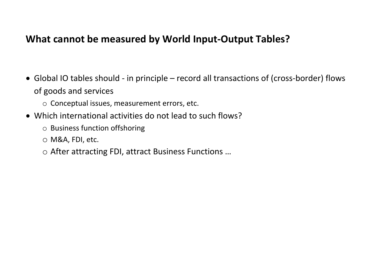### **What cannot be measured by World Input-Output Tables?**

- Global IO tables should in principle record all transactions of (cross-border) flows of goods and services
	- o Conceptual issues, measurement errors, etc.
- Which international activities do not lead to such flows?
	- o Business function offshoring
	- o M&A, FDI, etc.
	- o After attracting FDI, attract Business Functions …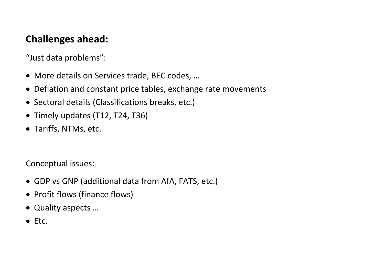## **Challenges ahead:**

"Just data problems":

- More details on Services trade, BEC codes, …
- Deflation and constant price tables, exchange rate movements
- Sectoral details (Classifications breaks, etc.)
- Timely updates (T12, T24, T36)
- Tariffs, NTMs, etc.

Conceptual issues:

- GDP vs GNP (additional data from AfA, FATS, etc.)
- Profit flows (finance flows)
- Quality aspects …
- $\bullet$  Etc.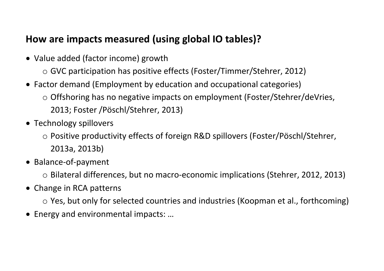### **How are impacts measured (using global IO tables)?**

- Value added (factor income) growth
	- o GVC participation has positive effects (Foster/Timmer/Stehrer, 2012)
- Factor demand (Employment by education and occupational categories)
	- o Offshoring has no negative impacts on employment (Foster/Stehrer/deVries, 2013; Foster /Pöschl/Stehrer, 2013)
- Technology spillovers
	- o Positive productivity effects of foreign R&D spillovers (Foster/Pöschl/Stehrer, 2013a, 2013b)
- Balance-of-payment
	- o Bilateral differences, but no macro-economic implications (Stehrer, 2012, 2013)
- Change in RCA patterns
	- o Yes, but only for selected countries and industries (Koopman et al., forthcoming)
- Energy and environmental impacts: …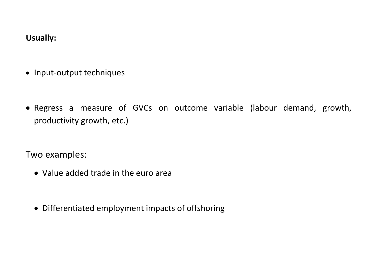#### **Usually:**

- Input-output techniques
- Regress a measure of GVCs on outcome variable (labour demand, growth, productivity growth, etc.)

Two examples:

- Value added trade in the euro area
- Differentiated employment impacts of offshoring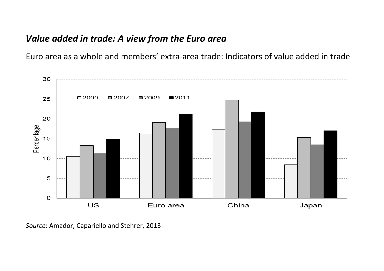### *Value added in trade: A view from the Euro area*

Euro area as a whole and members' extra-area trade: Indicators of value added in trade



*Source*: Amador, Capariello and Stehrer, 2013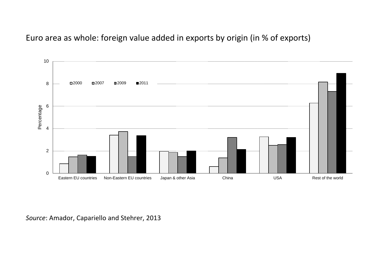#### Euro area as whole: foreign value added in exports by origin (in % of exports)



*Source*: Amador, Capariello and Stehrer, 2013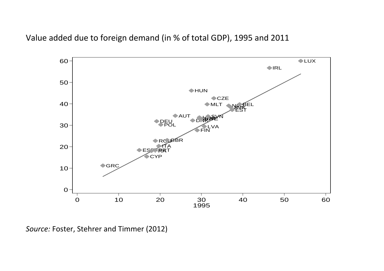Value added due to foreign demand (in % of total GDP), 1995 and 2011



*Source:* Foster, Stehrer and Timmer (2012)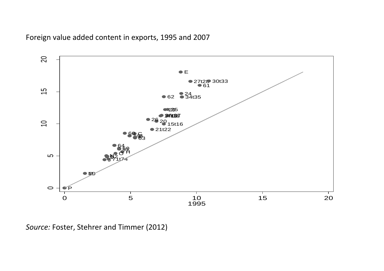



*Source:* Foster, Stehrer and Timmer (2012)